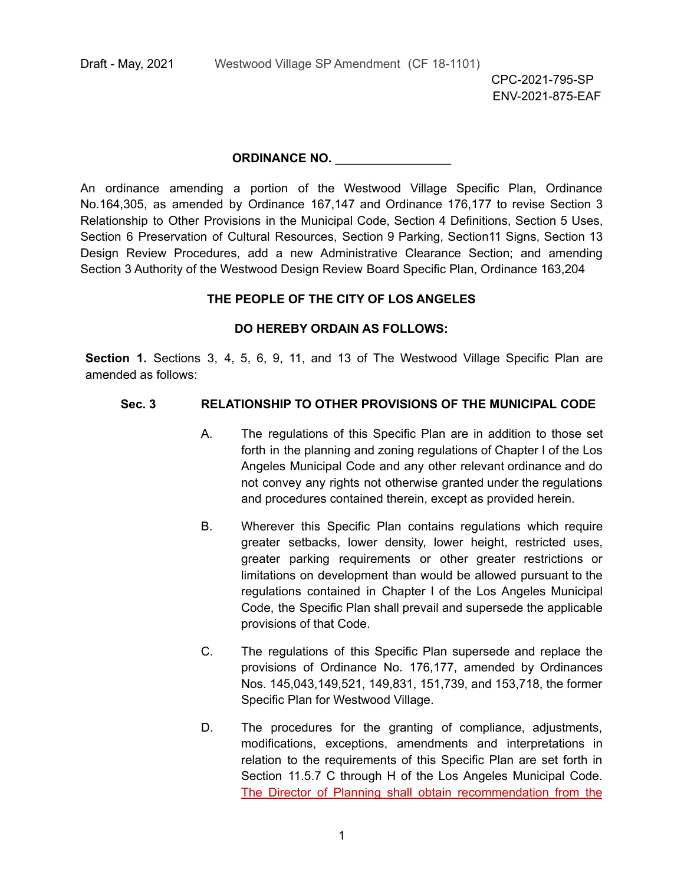#### **ORDINANCE NO.** \_\_\_\_\_\_\_\_\_\_\_\_\_\_\_\_\_

An ordinance amending a portion of the Westwood Village Specific Plan, Ordinance No.164,305, as amended by Ordinance 167,147 and Ordinance 176,177 to revise Section 3 Relationship to Other Provisions in the Municipal Code, Section 4 Definitions, Section 5 Uses, Section 6 Preservation of Cultural Resources, Section 9 Parking, Section11 Signs, Section 13 Design Review Procedures, add a new Administrative Clearance Section; and amending Section 3 Authority of the Westwood Design Review Board Specific Plan, Ordinance 163,204

#### **THE PEOPLE OF THE CITY OF LOS ANGELES**

#### **DO HEREBY ORDAIN AS FOLLOWS:**

**Section 1.** Sections 3, 4, 5, 6, 9, 11, and 13 of The Westwood Village Specific Plan are amended as follows:

#### **Sec. 3 RELATIONSHIP TO OTHER PROVISIONS OF THE MUNICIPAL CODE**

- A. The regulations of this Specific Plan are in addition to those set forth in the planning and zoning regulations of Chapter I of the Los Angeles Municipal Code and any other relevant ordinance and do not convey any rights not otherwise granted under the regulations and procedures contained therein, except as provided herein.
- B. Wherever this Specific Plan contains regulations which require greater setbacks, lower density, lower height, restricted uses, greater parking requirements or other greater restrictions or limitations on development than would be allowed pursuant to the regulations contained in Chapter I of the Los Angeles Municipal Code, the Specific Plan shall prevail and supersede the applicable provisions of that Code.
- C. The regulations of this Specific Plan supersede and replace the provisions of Ordinance No. 176,177, amended by Ordinances Nos. 145,043,149,521, 149,831, 151,739, and 153,718, the former Specific Plan for Westwood Village.
- D. The procedures for the granting of compliance, adjustments, modifications, exceptions, amendments and interpretations in relation to the requirements of this Specific Plan are set forth in Section 11.5.7 C through H of the Los Angeles Municipal Code. The Director of Planning shall obtain recommendation from the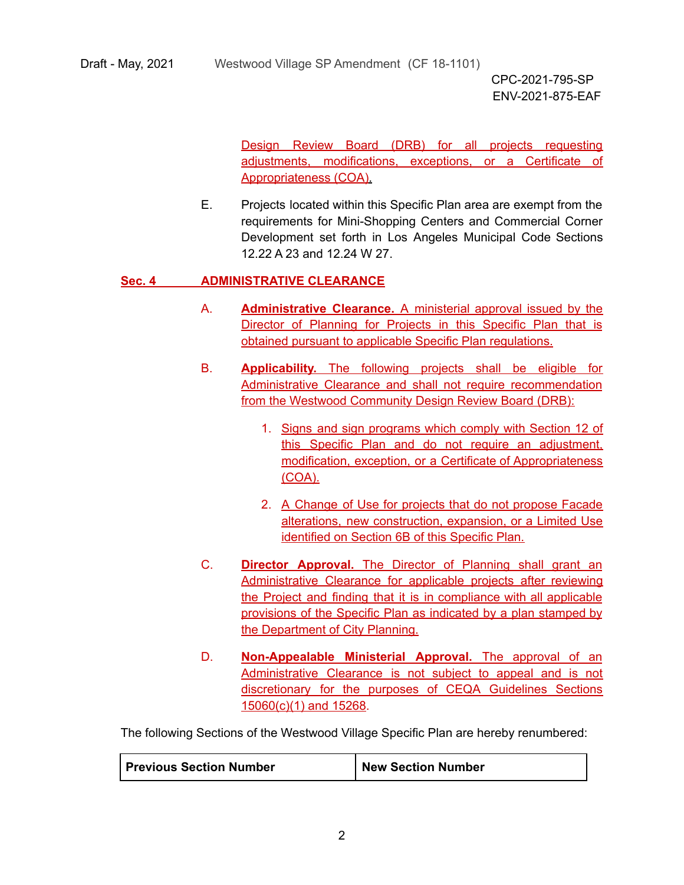Draft - May, 2021 Westwood Village SP Amendment (CF 18-1101)

CPC-2021-795-SP ENV-2021-875-EAF

Design Review Board (DRB) for all projects requesting adjustments, modifications, exceptions, or a Certificate of Appropriateness (COA).

E. Projects located within this Specific Plan area are exempt from the requirements for Mini-Shopping Centers and Commercial Corner Development set forth in Los Angeles Municipal Code Sections 12.22 A 23 and 12.24 W 27.

#### **Sec. 4 ADMINISTRATIVE CLEARANCE**

- A. **Administrative Clearance.** A ministerial approval issued by the Director of Planning for Projects in this Specific Plan that is obtained pursuant to applicable Specific Plan regulations.
- B. **Applicability.** The following projects shall be eligible for Administrative Clearance and shall not require recommendation from the Westwood Community Design Review Board (DRB):
	- 1. Signs and sign programs which comply with Section 12 of this Specific Plan and do not require an adjustment, modification, exception, or a Certificate of Appropriateness (COA).
	- 2. A Change of Use for projects that do not propose Facade alterations, new construction, expansion, or a Limited Use identified on Section 6B of this Specific Plan.
- C. **Director Approval.** The Director of Planning shall grant an Administrative Clearance for applicable projects after reviewing the Project and finding that it is in compliance with all applicable provisions of the Specific Plan as indicated by a plan stamped by the Department of City Planning.
- D. **Non-Appealable Ministerial Approval.** The approval of an Administrative Clearance is not subject to appeal and is not discretionary for the purposes of CEQA Guidelines Sections 15060(c)(1) and 15268.

The following Sections of the Westwood Village Specific Plan are hereby renumbered:

| <b>Previous Section Number</b> | New Section Number |
|--------------------------------|--------------------|
|--------------------------------|--------------------|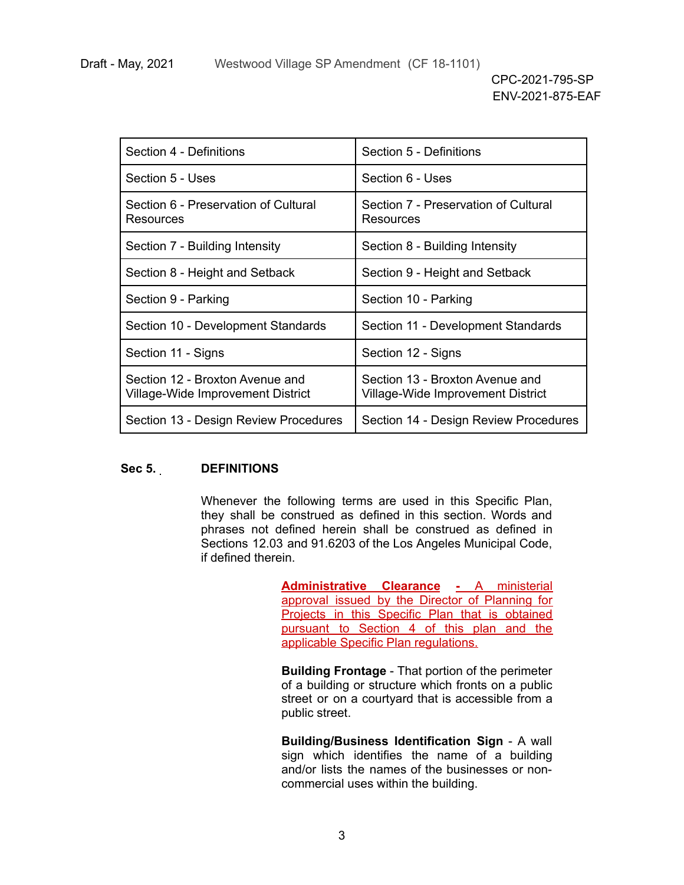| Section 4 - Definitions                                              | Section 5 - Definitions                                              |  |  |
|----------------------------------------------------------------------|----------------------------------------------------------------------|--|--|
| Section 5 - Uses<br>Section 6 - Uses                                 |                                                                      |  |  |
| Section 6 - Preservation of Cultural<br>Resources                    | Section 7 - Preservation of Cultural<br>Resources                    |  |  |
| Section 7 - Building Intensity                                       | Section 8 - Building Intensity                                       |  |  |
| Section 8 - Height and Setback                                       | Section 9 - Height and Setback                                       |  |  |
| Section 9 - Parking                                                  | Section 10 - Parking                                                 |  |  |
| Section 10 - Development Standards                                   | Section 11 - Development Standards                                   |  |  |
| Section 11 - Signs                                                   | Section 12 - Signs                                                   |  |  |
| Section 12 - Broxton Avenue and<br>Village-Wide Improvement District | Section 13 - Broxton Avenue and<br>Village-Wide Improvement District |  |  |
| Section 13 - Design Review Procedures                                | Section 14 - Design Review Procedures                                |  |  |

#### **Sec 5. DEFINITIONS**

Whenever the following terms are used in this Specific Plan, they shall be construed as defined in this section. Words and phrases not defined herein shall be construed as defined in Sections 12.03 and 91.6203 of the Los Angeles Municipal Code, if defined therein.

> **Administrative Clearance -** A ministerial approval issued by the Director of Planning for Projects in this Specific Plan that is obtained pursuant to Section 4 of this plan and the applicable Specific Plan regulations.

> **Building Frontage** - That portion of the perimeter of a building or structure which fronts on a public street or on a courtyard that is accessible from a public street.

> **Building/Business Identification Sign** - A wall sign which identifies the name of a building and/or lists the names of the businesses or noncommercial uses within the building.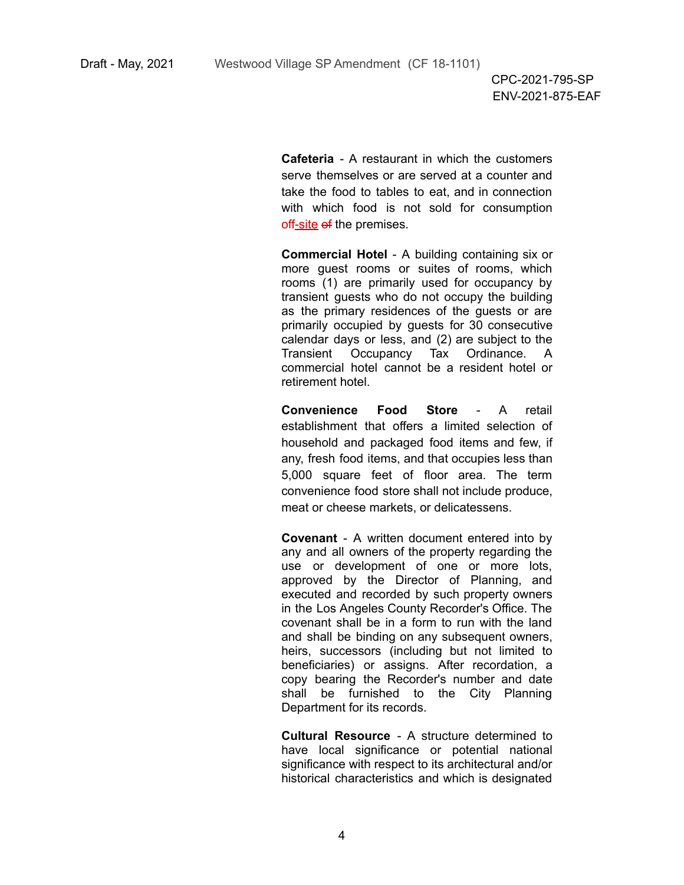**Cafeteria** - A restaurant in which the customers serve themselves or are served at a counter and take the food to tables to eat, and in connection with which food is not sold for consumption off-site of the premises.

**Commercial Hotel** - A building containing six or more guest rooms or suites of rooms, which rooms (1) are primarily used for occupancy by transient guests who do not occupy the building as the primary residences of the guests or are primarily occupied by guests for 30 consecutive calendar days or less, and (2) are subject to the Transient Occupancy Tax Ordinance. A commercial hotel cannot be a resident hotel or retirement hotel.

**Convenience Food Store** - A retail establishment that offers a limited selection of household and packaged food items and few, if any, fresh food items, and that occupies less than 5,000 square feet of floor area. The term convenience food store shall not include produce, meat or cheese markets, or delicatessens.

**Covenant** - A written document entered into by any and all owners of the property regarding the use or development of one or more lots, approved by the Director of Planning, and executed and recorded by such property owners in the Los Angeles County Recorder's Office. The covenant shall be in a form to run with the land and shall be binding on any subsequent owners, heirs, successors (including but not limited to beneficiaries) or assigns. After recordation, a copy bearing the Recorder's number and date shall be furnished to the City Planning Department for its records.

**Cultural Resource** - A structure determined to have local significance or potential national significance with respect to its architectural and/or historical characteristics and which is designated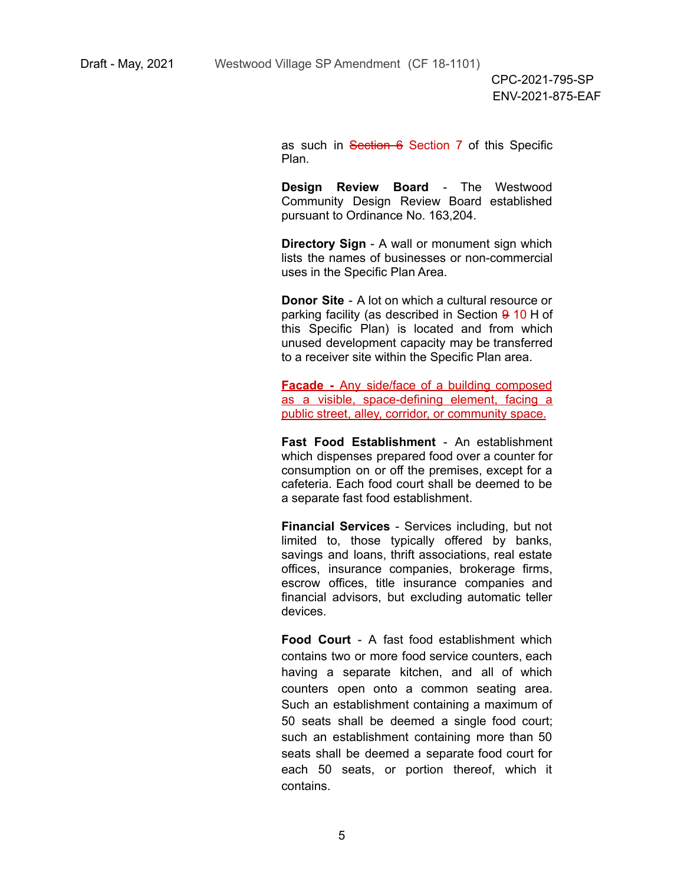as such in Section 6 Section 7 of this Specific Plan.

**Design Review Board** - The Westwood Community Design Review Board established pursuant to Ordinance No. 163,204.

**Directory Sign** - A wall or monument sign which lists the names of businesses or non-commercial uses in the Specific Plan Area.

**Donor Site** - A lot on which a cultural resource or parking facility (as described in Section 9 10 H of this Specific Plan) is located and from which unused development capacity may be transferred to a receiver site within the Specific Plan area.

**Facade -** Any side/face of a building composed as a visible, space-defining element, facing a public street, alley, corridor, or community space.

**Fast Food Establishment** - An establishment which dispenses prepared food over a counter for consumption on or off the premises, except for a cafeteria. Each food court shall be deemed to be a separate fast food establishment.

**Financial Services** - Services including, but not limited to, those typically offered by banks, savings and loans, thrift associations, real estate offices, insurance companies, brokerage firms, escrow offices, title insurance companies and financial advisors, but excluding automatic teller devices.

**Food Court** - A fast food establishment which contains two or more food service counters, each having a separate kitchen, and all of which counters open onto a common seating area. Such an establishment containing a maximum of 50 seats shall be deemed a single food court; such an establishment containing more than 50 seats shall be deemed a separate food court for each 50 seats, or portion thereof, which it contains.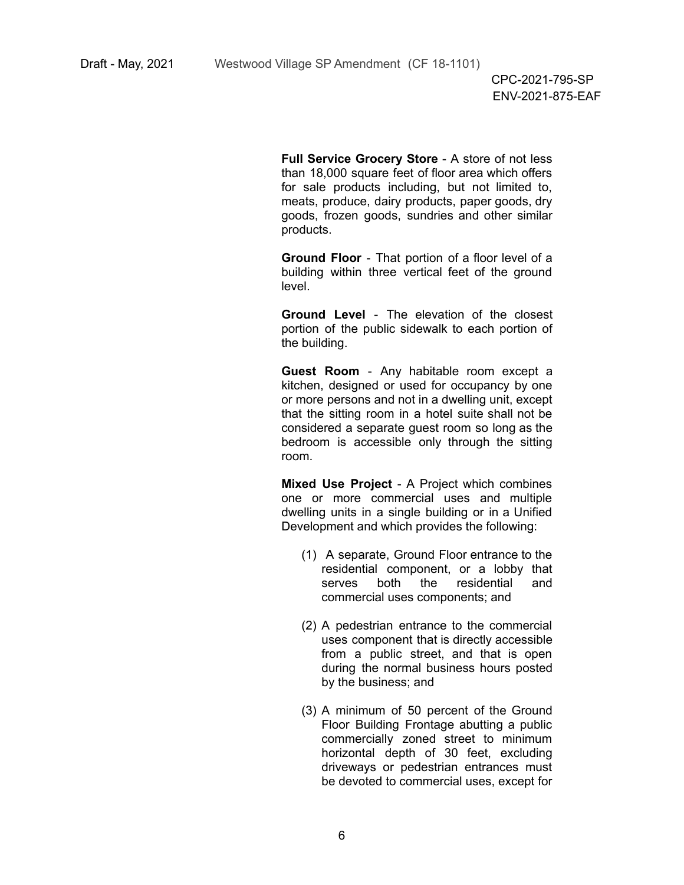**Full Service Grocery Store** - A store of not less than 18,000 square feet of floor area which offers for sale products including, but not limited to, meats, produce, dairy products, paper goods, dry goods, frozen goods, sundries and other similar products.

**Ground Floor** - That portion of a floor level of a building within three vertical feet of the ground level.

**Ground Level** - The elevation of the closest portion of the public sidewalk to each portion of the building.

**Guest Room** - Any habitable room except a kitchen, designed or used for occupancy by one or more persons and not in a dwelling unit, except that the sitting room in a hotel suite shall not be considered a separate guest room so long as the bedroom is accessible only through the sitting room.

**Mixed Use Project** - A Project which combines one or more commercial uses and multiple dwelling units in a single building or in a Unified Development and which provides the following:

- (1) A separate, Ground Floor entrance to the residential component, or a lobby that serves both the residential and commercial uses components; and
- (2) A pedestrian entrance to the commercial uses component that is directly accessible from a public street, and that is open during the normal business hours posted by the business; and
- (3) A minimum of 50 percent of the Ground Floor Building Frontage abutting a public commercially zoned street to minimum horizontal depth of 30 feet, excluding driveways or pedestrian entrances must be devoted to commercial uses, except for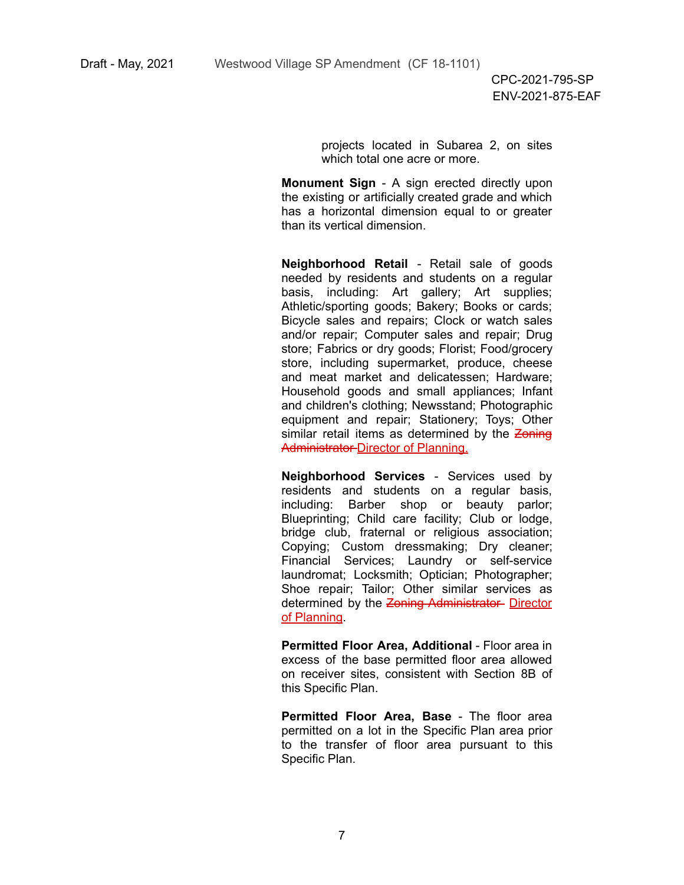projects located in Subarea 2, on sites which total one acre or more.

**Monument Sign** - A sign erected directly upon the existing or artificially created grade and which has a horizontal dimension equal to or greater than its vertical dimension.

**Neighborhood Retail** - Retail sale of goods needed by residents and students on a regular basis, including: Art gallery; Art supplies; Athletic/sporting goods; Bakery; Books or cards; Bicycle sales and repairs; Clock or watch sales and/or repair; Computer sales and repair; Drug store; Fabrics or dry goods; Florist; Food/grocery store, including supermarket, produce, cheese and meat market and delicatessen; Hardware; Household goods and small appliances; Infant and children's clothing; Newsstand; Photographic equipment and repair; Stationery; Toys; Other similar retail items as determined by the Zoning Administrator-Director of Planning.

**Neighborhood Services** - Services used by residents and students on a regular basis, including: Barber shop or beauty parlor; Blueprinting; Child care facility; Club or lodge, bridge club, fraternal or religious association; Copying; Custom dressmaking; Dry cleaner; Financial Services; Laundry or self-service laundromat; Locksmith; Optician; Photographer; Shoe repair; Tailor; Other similar services as determined by the Zoning Administrator- Director of Planning.

**Permitted Floor Area, Additional** - Floor area in excess of the base permitted floor area allowed on receiver sites, consistent with Section 8B of this Specific Plan.

**Permitted Floor Area, Base** - The floor area permitted on a lot in the Specific Plan area prior to the transfer of floor area pursuant to this Specific Plan.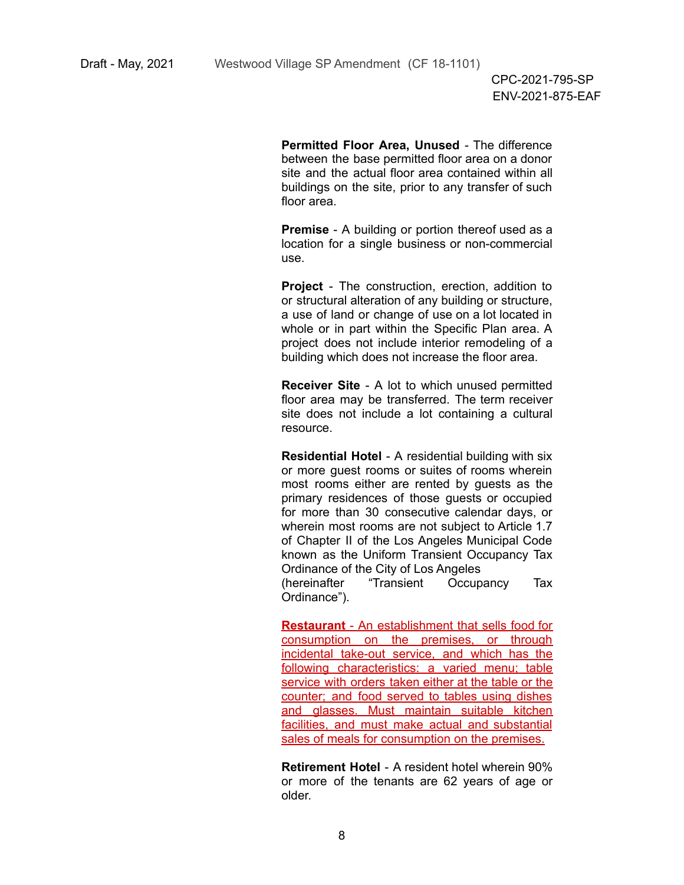**Permitted Floor Area, Unused** - The difference between the base permitted floor area on a donor site and the actual floor area contained within all buildings on the site, prior to any transfer of such floor area.

**Premise** - A building or portion thereof used as a location for a single business or non-commercial use.

**Project** - The construction, erection, addition to or structural alteration of any building or structure, a use of land or change of use on a lot located in whole or in part within the Specific Plan area. A project does not include interior remodeling of a building which does not increase the floor area.

**Receiver Site** - A lot to which unused permitted floor area may be transferred. The term receiver site does not include a lot containing a cultural resource.

**Residential Hotel** - A residential building with six or more guest rooms or suites of rooms wherein most rooms either are rented by guests as the primary residences of those guests or occupied for more than 30 consecutive calendar days, or wherein most rooms are not subject to Article 1.7 of Chapter II of the Los Angeles Municipal Code known as the Uniform Transient Occupancy Tax Ordinance of the City of Los Angeles

(hereinafter "Transient Occupancy Tax Ordinance").

**Restaurant** - An establishment that sells food for consumption on the premises, or through incidental take-out service, and which has the following characteristics: a varied menu; table service with orders taken either at the table or the counter; and food served to tables using dishes and glasses. Must maintain suitable kitchen facilities, and must make actual and substantial sales of meals for consumption on the premises.

**Retirement Hotel** - A resident hotel wherein 90% or more of the tenants are 62 years of age or older.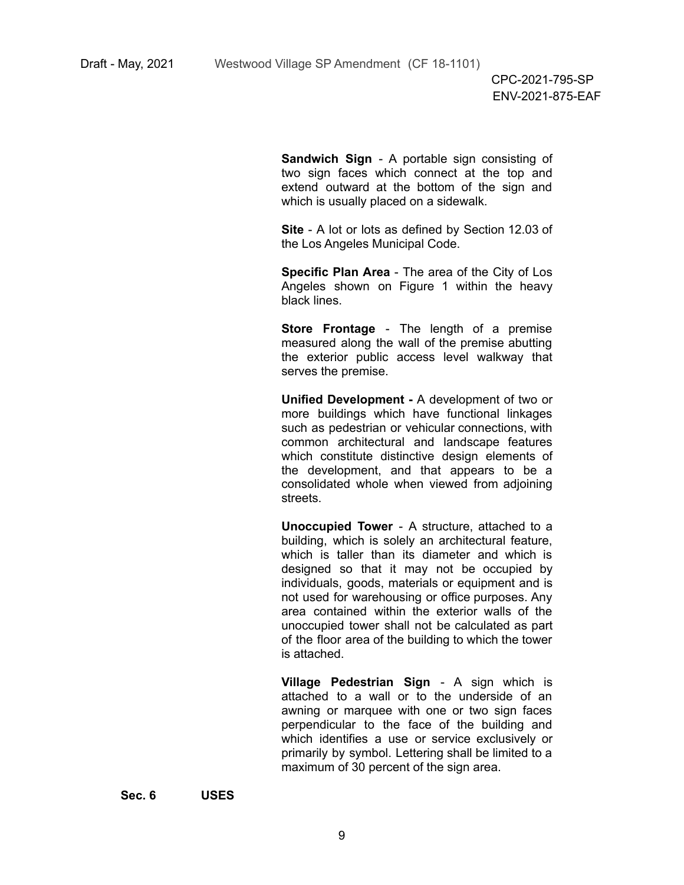**Sandwich Sign** - A portable sign consisting of two sign faces which connect at the top and extend outward at the bottom of the sign and which is usually placed on a sidewalk.

**Site** - A lot or lots as defined by Section 12.03 of the Los Angeles Municipal Code.

**Specific Plan Area** - The area of the City of Los Angeles shown on Figure 1 within the heavy black lines.

**Store Frontage** - The length of a premise measured along the wall of the premise abutting the exterior public access level walkway that serves the premise.

**Unified Development -** A development of two or more buildings which have functional linkages such as pedestrian or vehicular connections, with common architectural and landscape features which constitute distinctive design elements of the development, and that appears to be a consolidated whole when viewed from adjoining streets.

**Unoccupied Tower** - A structure, attached to a building, which is solely an architectural feature, which is taller than its diameter and which is designed so that it may not be occupied by individuals, goods, materials or equipment and is not used for warehousing or office purposes. Any area contained within the exterior walls of the unoccupied tower shall not be calculated as part of the floor area of the building to which the tower is attached.

**Village Pedestrian Sign** - A sign which is attached to a wall or to the underside of an awning or marquee with one or two sign faces perpendicular to the face of the building and which identifies a use or service exclusively or primarily by symbol. Lettering shall be limited to a maximum of 30 percent of the sign area.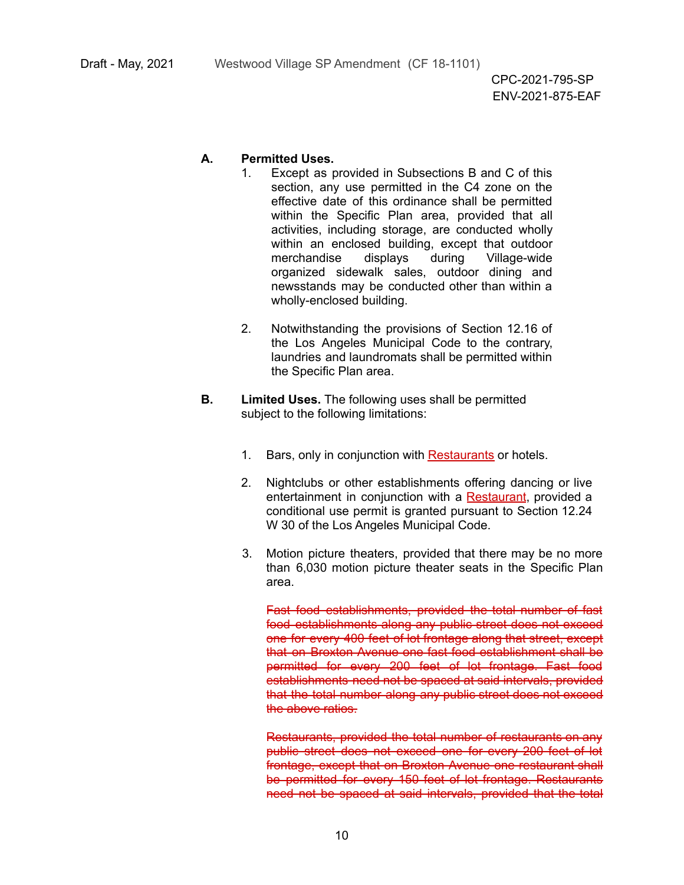#### **A. Permitted Uses.**

- 1. Except as provided in Subsections B and C of this section, any use permitted in the C4 zone on the effective date of this ordinance shall be permitted within the Specific Plan area, provided that all activities, including storage, are conducted wholly within an enclosed building, except that outdoor merchandise displays during Village-wide organized sidewalk sales, outdoor dining and newsstands may be conducted other than within a wholly-enclosed building.
- 2. Notwithstanding the provisions of Section 12.16 of the Los Angeles Municipal Code to the contrary, laundries and laundromats shall be permitted within the Specific Plan area.
- **B. Limited Uses.** The following uses shall be permitted subject to the following limitations:
	- 1. Bars, only in conjunction with Restaurants or hotels.
	- 2. Nightclubs or other establishments offering dancing or live entertainment in conjunction with a Restaurant, provided a conditional use permit is granted pursuant to Section 12.24 W 30 of the Los Angeles Municipal Code.
	- 3. Motion picture theaters, provided that there may be no more than 6,030 motion picture theater seats in the Specific Plan area.

Fast food establishments, provided the total number of fast food establishments along any public street does not exceed one for every 400 feet of lot frontage along that street, except that on Broxton Avenue one fast food establishment shall be permitted for every 200 feet of lot frontage. Fast food establishments need not be spaced at said intervals, provided that the total number along any public street does not exceed the above ratios.

Restaurants, provided the total number of restaurants on any public street does not exceed one for every 200 feet of lot frontage, except that on Broxton Avenue one restaurant shall be permitted for every 150 feet of lot frontage. Restaurants need not be spaced at said intervals, provided that the total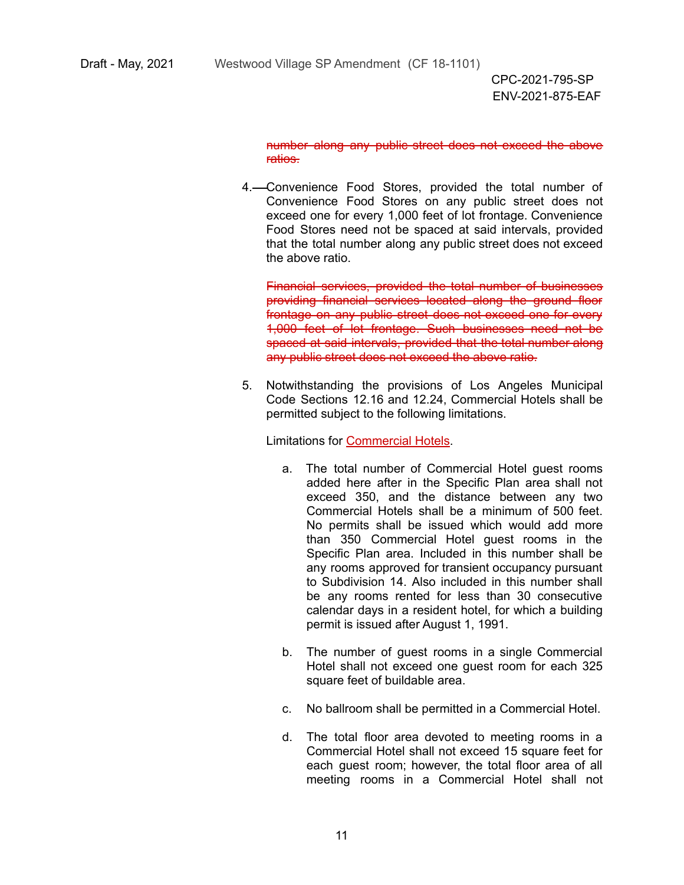number along any public street does not exceed the above ratios.

4. Convenience Food Stores, provided the total number of Convenience Food Stores on any public street does not exceed one for every 1,000 feet of lot frontage. Convenience Food Stores need not be spaced at said intervals, provided that the total number along any public street does not exceed the above ratio.

Financial services, provided the total number of businesses providing financial services located along the ground floor frontage on any public street does not exceed one for every 1,000 feet of lot frontage. Such businesses need not be spaced at said intervals, provided that the total number along any public street does not exceed the above ratio.

5. Notwithstanding the provisions of Los Angeles Municipal Code Sections 12.16 and 12.24, Commercial Hotels shall be permitted subject to the following limitations.

Limitations for Commercial Hotels.

- a. The total number of Commercial Hotel guest rooms added here after in the Specific Plan area shall not exceed 350, and the distance between any two Commercial Hotels shall be a minimum of 500 feet. No permits shall be issued which would add more than 350 Commercial Hotel guest rooms in the Specific Plan area. Included in this number shall be any rooms approved for transient occupancy pursuant to Subdivision 14. Also included in this number shall be any rooms rented for less than 30 consecutive calendar days in a resident hotel, for which a building permit is issued after August 1, 1991.
- b. The number of guest rooms in a single Commercial Hotel shall not exceed one guest room for each 325 square feet of buildable area.
- c. No ballroom shall be permitted in a Commercial Hotel.
- d. The total floor area devoted to meeting rooms in a Commercial Hotel shall not exceed 15 square feet for each guest room; however, the total floor area of all meeting rooms in a Commercial Hotel shall not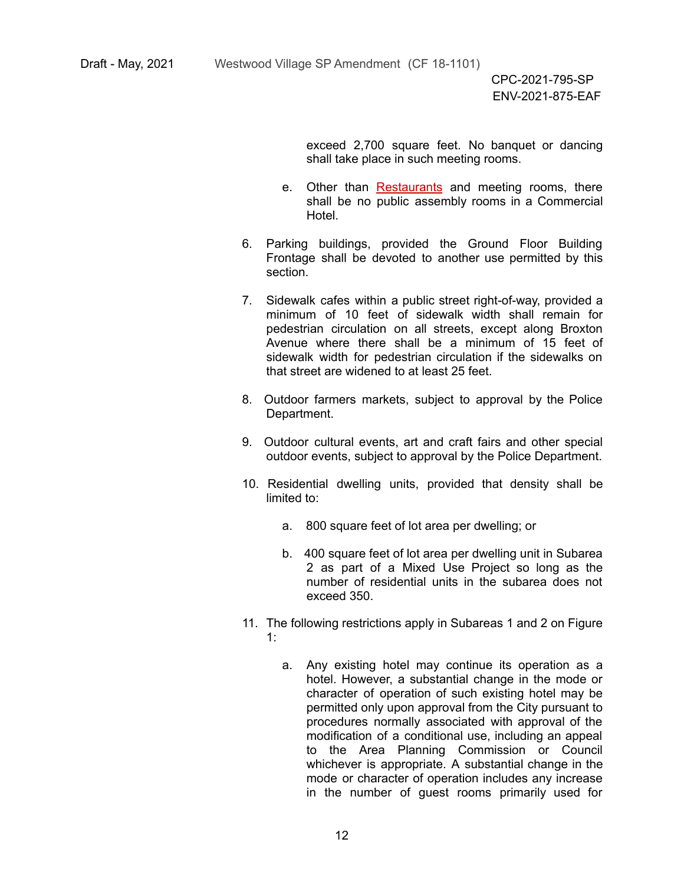exceed 2,700 square feet. No banquet or dancing shall take place in such meeting rooms.

- e. Other than Restaurants and meeting rooms, there shall be no public assembly rooms in a Commercial Hotel.
- 6. Parking buildings, provided the Ground Floor Building Frontage shall be devoted to another use permitted by this section.
- 7. Sidewalk cafes within a public street right-of-way, provided a minimum of 10 feet of sidewalk width shall remain for pedestrian circulation on all streets, except along Broxton Avenue where there shall be a minimum of 15 feet of sidewalk width for pedestrian circulation if the sidewalks on that street are widened to at least 25 feet.
- 8. Outdoor farmers markets, subject to approval by the Police Department.
- 9. Outdoor cultural events, art and craft fairs and other special outdoor events, subject to approval by the Police Department.
- 10. Residential dwelling units, provided that density shall be limited to:
	- a. 800 square feet of lot area per dwelling; or
	- b. 400 square feet of lot area per dwelling unit in Subarea 2 as part of a Mixed Use Project so long as the number of residential units in the subarea does not exceed 350.
- 11. The following restrictions apply in Subareas 1 and 2 on Figure 1:
	- a. Any existing hotel may continue its operation as a hotel. However, a substantial change in the mode or character of operation of such existing hotel may be permitted only upon approval from the City pursuant to procedures normally associated with approval of the modification of a conditional use, including an appeal to the Area Planning Commission or Council whichever is appropriate. A substantial change in the mode or character of operation includes any increase in the number of guest rooms primarily used for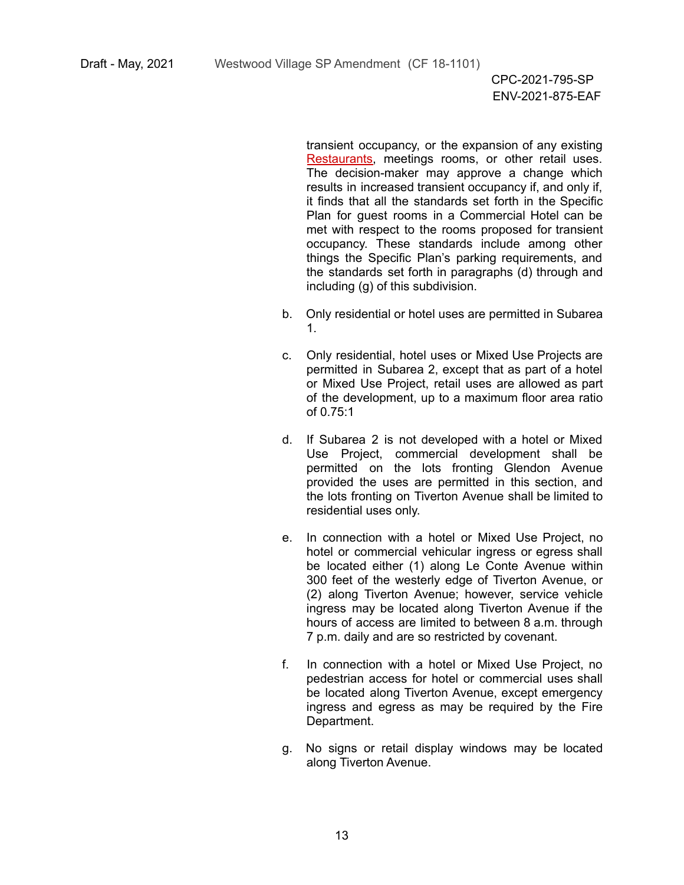transient occupancy, or the expansion of any existing Restaurants, meetings rooms, or other retail uses. The decision-maker may approve a change which results in increased transient occupancy if, and only if, it finds that all the standards set forth in the Specific Plan for guest rooms in a Commercial Hotel can be met with respect to the rooms proposed for transient occupancy. These standards include among other things the Specific Plan's parking requirements, and the standards set forth in paragraphs (d) through and including (g) of this subdivision.

- b. Only residential or hotel uses are permitted in Subarea 1.
- c. Only residential, hotel uses or Mixed Use Projects are permitted in Subarea 2, except that as part of a hotel or Mixed Use Project, retail uses are allowed as part of the development, up to a maximum floor area ratio of 0.75:1
- d. If Subarea 2 is not developed with a hotel or Mixed Use Project, commercial development shall be permitted on the lots fronting Glendon Avenue provided the uses are permitted in this section, and the lots fronting on Tiverton Avenue shall be limited to residential uses only.
- e. In connection with a hotel or Mixed Use Project, no hotel or commercial vehicular ingress or egress shall be located either (1) along Le Conte Avenue within 300 feet of the westerly edge of Tiverton Avenue, or (2) along Tiverton Avenue; however, service vehicle ingress may be located along Tiverton Avenue if the hours of access are limited to between 8 a.m. through 7 p.m. daily and are so restricted by covenant.
- f. In connection with a hotel or Mixed Use Project, no pedestrian access for hotel or commercial uses shall be located along Tiverton Avenue, except emergency ingress and egress as may be required by the Fire Department.
- g. No signs or retail display windows may be located along Tiverton Avenue.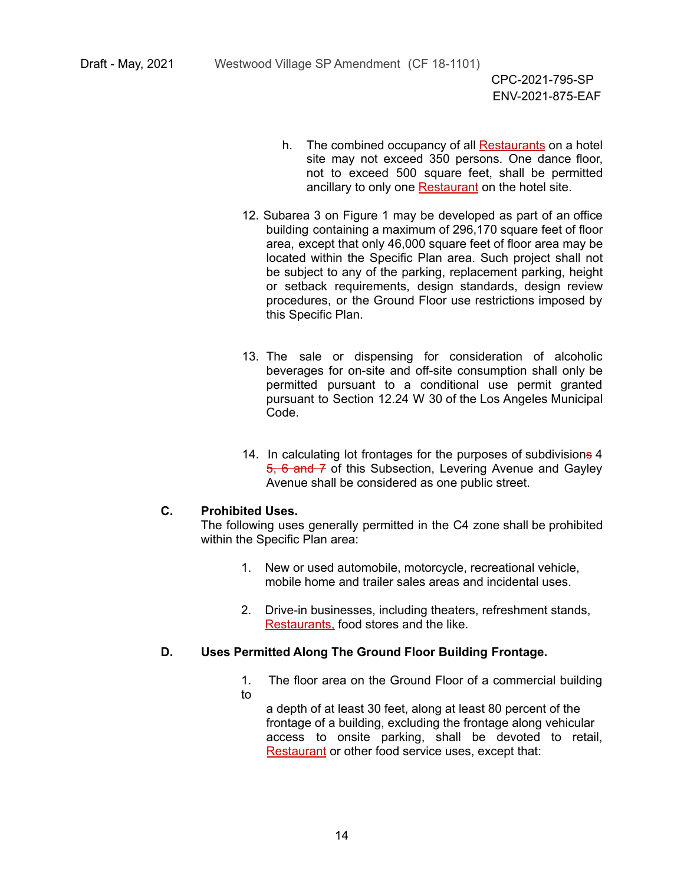- h. The combined occupancy of all **Restaurants** on a hotel site may not exceed 350 persons. One dance floor, not to exceed 500 square feet, shall be permitted ancillary to only one Restaurant on the hotel site.
- 12. Subarea 3 on Figure 1 may be developed as part of an office building containing a maximum of 296,170 square feet of floor area, except that only 46,000 square feet of floor area may be located within the Specific Plan area. Such project shall not be subject to any of the parking, replacement parking, height or setback requirements, design standards, design review procedures, or the Ground Floor use restrictions imposed by this Specific Plan.
- 13. The sale or dispensing for consideration of alcoholic beverages for on-site and off-site consumption shall only be permitted pursuant to a conditional use permit granted pursuant to Section 12.24 W 30 of the Los Angeles Municipal Code.
- 14. In calculating lot frontages for the purposes of subdivisions 4 5, 6 and 7 of this Subsection, Levering Avenue and Gavley Avenue shall be considered as one public street.

#### **C. Prohibited Uses.**

The following uses generally permitted in the C4 zone shall be prohibited within the Specific Plan area:

- 1. New or used automobile, motorcycle, recreational vehicle, mobile home and trailer sales areas and incidental uses.
- 2. Drive-in businesses, including theaters, refreshment stands, Restaurants, food stores and the like.

#### **D. Uses Permitted Along The Ground Floor Building Frontage.**

- 1. The floor area on the Ground Floor of a commercial building to
	- a depth of at least 30 feet, along at least 80 percent of the frontage of a building, excluding the frontage along vehicular access to onsite parking, shall be devoted to retail, Restaurant or other food service uses, except that: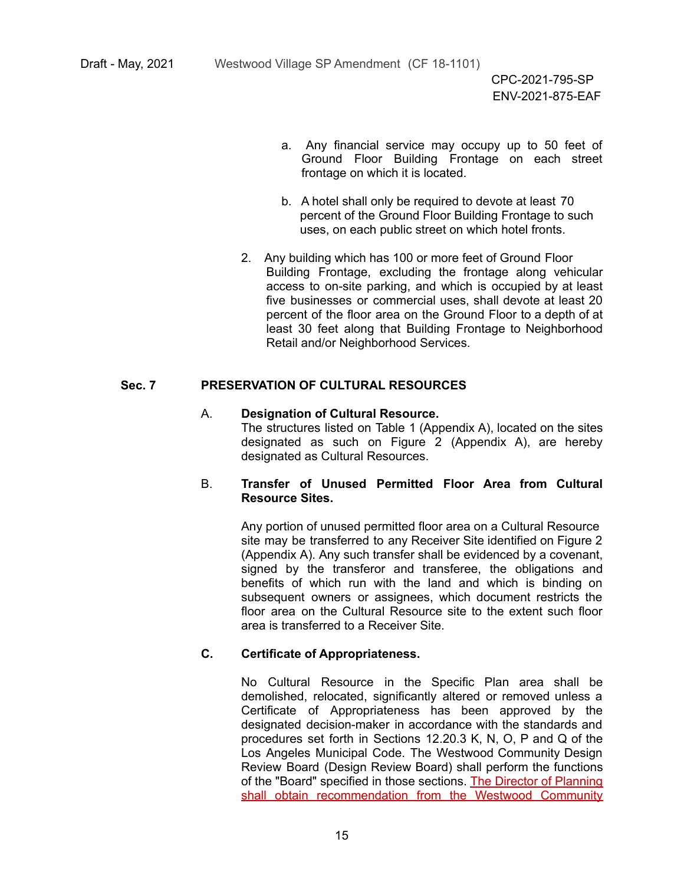- a. Any financial service may occupy up to 50 feet of Ground Floor Building Frontage on each street frontage on which it is located.
- b. A hotel shall only be required to devote at least 70 percent of the Ground Floor Building Frontage to such uses, on each public street on which hotel fronts.
- 2. Any building which has 100 or more feet of Ground Floor Building Frontage, excluding the frontage along vehicular access to on-site parking, and which is occupied by at least five businesses or commercial uses, shall devote at least 20 percent of the floor area on the Ground Floor to a depth of at least 30 feet along that Building Frontage to Neighborhood Retail and/or Neighborhood Services.

#### **Sec. 7 PRESERVATION OF CULTURAL RESOURCES**

#### A. **Designation of Cultural Resource.**

The structures listed on Table 1 (Appendix A), located on the sites designated as such on Figure 2 (Appendix A), are hereby designated as Cultural Resources.

#### B. **Transfer of Unused Permitted Floor Area from Cultural Resource Sites.**

Any portion of unused permitted floor area on a Cultural Resource site may be transferred to any Receiver Site identified on Figure 2 (Appendix A). Any such transfer shall be evidenced by a covenant, signed by the transferor and transferee, the obligations and benefits of which run with the land and which is binding on subsequent owners or assignees, which document restricts the floor area on the Cultural Resource site to the extent such floor area is transferred to a Receiver Site.

#### **C. Certificate of Appropriateness.**

No Cultural Resource in the Specific Plan area shall be demolished, relocated, significantly altered or removed unless a Certificate of Appropriateness has been approved by the designated decision-maker in accordance with the standards and procedures set forth in Sections 12.20.3 K, N, O, P and Q of the Los Angeles Municipal Code. The Westwood Community Design Review Board (Design Review Board) shall perform the functions of the "Board" specified in those sections. The Director of Planning shall obtain recommendation from the Westwood Community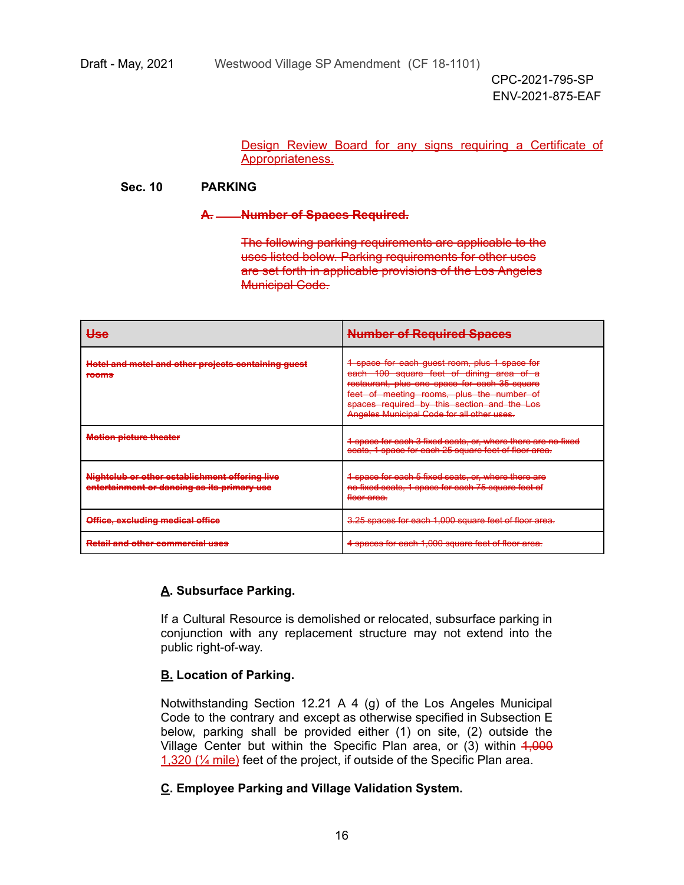Design Review Board for any signs requiring a Certificate of Appropriateness.

#### **Sec. 10 PARKING**

#### **A. Number of Spaces Required.**

The following parking requirements are applicable to the uses listed below. Parking requirements for other uses are set forth in applicable provisions of the Los Angeles Municipal Code.

| مەللا<br>マママ                                                                                                                           | <b>Number of Required Spaces</b>                                                                                                                                                                                                                                                     |  |
|----------------------------------------------------------------------------------------------------------------------------------------|--------------------------------------------------------------------------------------------------------------------------------------------------------------------------------------------------------------------------------------------------------------------------------------|--|
| Hotel and motel and other projects containing quest<br><del>noter and moter and other projects containing guest</del><br><b>TOOTHS</b> | 4 space for each guest room, plus 1 space for<br>each 100 square feet of dining area of a<br>restaurant, plus one space for each 35 square<br>feet of meeting rooms, plus the number of<br>spaces required by this section and the Los<br>Angeles Municipal Gode for all other uses. |  |
| Matian niatura thaatar<br><b>MOROT DIGREG HIGHGI</b>                                                                                   | 1 angeg for goob 2 fixed goots, or where there are no fixed<br><del>T space for each 3 lixed seals, or, where there are no lixed</del><br>seats, 1 space for each 25 square feet of floor area.                                                                                      |  |
| Nightelub or other establishment offering live<br>entertainment or dancing as its primary use                                          | 4 space for each 5 fixed seats, or, where there are<br>no fixed seats, 1 space for each 75 square feet of<br><del>floor area.</del>                                                                                                                                                  |  |
| Office, excluding medical office                                                                                                       | 3.25 engene for each 1,000 equato foot of floor aroa<br><del>a.29 spaces for each 1,000 square feet of floor area.</del>                                                                                                                                                             |  |
| <b>Retail and other commercial uses</b>                                                                                                | <u>A angoon for ongh 1,000 caugra foot of floor groo</u><br><u> 1 spaces for each 1,000 square feet of floor area.</u>                                                                                                                                                               |  |

# **A. Subsurface Parking.**

If a Cultural Resource is demolished or relocated, subsurface parking in conjunction with any replacement structure may not extend into the public right-of-way.

# **B. Location of Parking.**

Notwithstanding Section 12.21 A 4 (g) of the Los Angeles Municipal Code to the contrary and except as otherwise specified in Subsection E below, parking shall be provided either (1) on site, (2) outside the Village Center but within the Specific Plan area, or (3) within 4,000 1,320 (¼ mile) feet of the project, if outside of the Specific Plan area.

# **C. Employee Parking and Village Validation System.**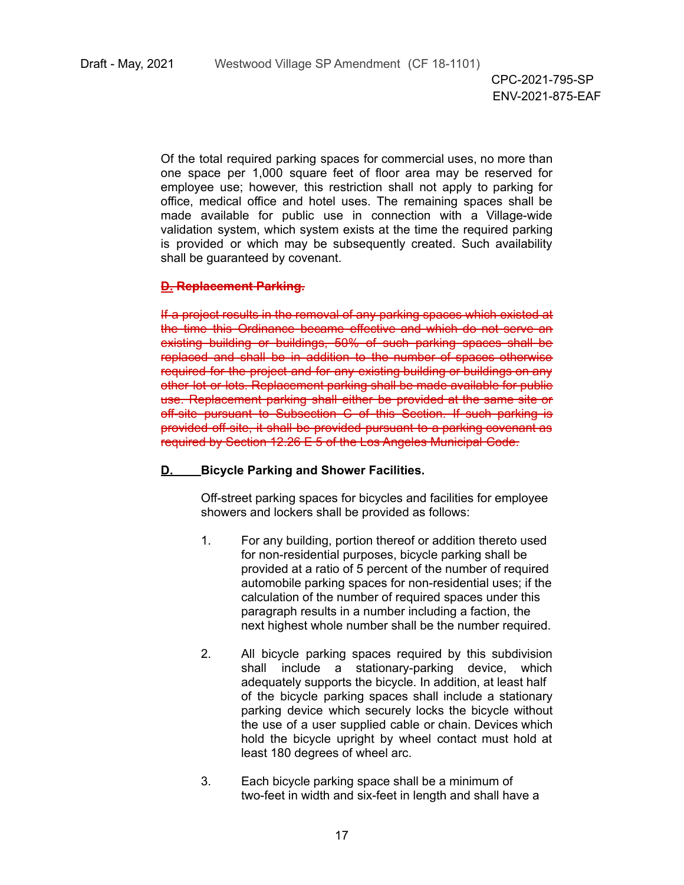Of the total required parking spaces for commercial uses, no more than one space per 1,000 square feet of floor area may be reserved for employee use; however, this restriction shall not apply to parking for office, medical office and hotel uses. The remaining spaces shall be made available for public use in connection with a Village-wide validation system, which system exists at the time the required parking is provided or which may be subsequently created. Such availability shall be guaranteed by covenant.

#### **D. Replacement Parking.**

If a project results in the removal of any parking spaces which existed at the time this Ordinance became effective and which do not serve an existing building or buildings, 50% of such parking spaces shall be replaced and shall be in addition to the number of spaces otherwise required for the project and for any existing building or buildings on any other lot or lots. Replacement parking shall be made available for public use. Replacement parking shall either be provided at the same site or off-site pursuant to Subsection C of this Section. If such parking is provided off-site, it shall be provided pursuant to a parking covenant as required by Section 12.26 E 5 of the Los Angeles Municipal Code.

#### **D. Bicycle Parking and Shower Facilities.**

Off-street parking spaces for bicycles and facilities for employee showers and lockers shall be provided as follows:

- 1. For any building, portion thereof or addition thereto used for non-residential purposes, bicycle parking shall be provided at a ratio of 5 percent of the number of required automobile parking spaces for non-residential uses; if the calculation of the number of required spaces under this paragraph results in a number including a faction, the next highest whole number shall be the number required.
- 2. All bicycle parking spaces required by this subdivision shall include a stationary-parking device, which adequately supports the bicycle. In addition, at least half of the bicycle parking spaces shall include a stationary parking device which securely locks the bicycle without the use of a user supplied cable or chain. Devices which hold the bicycle upright by wheel contact must hold at least 180 degrees of wheel arc.
- 3. Each bicycle parking space shall be a minimum of two-feet in width and six-feet in length and shall have a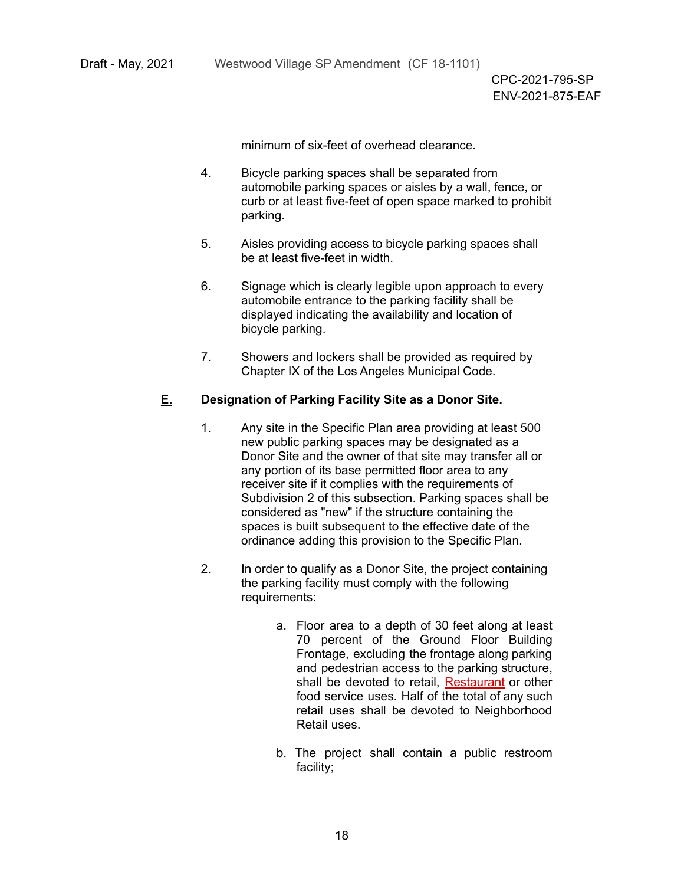minimum of six-feet of overhead clearance.

- 4. Bicycle parking spaces shall be separated from automobile parking spaces or aisles by a wall, fence, or curb or at least five-feet of open space marked to prohibit parking.
- 5. Aisles providing access to bicycle parking spaces shall be at least five-feet in width.
- 6. Signage which is clearly legible upon approach to every automobile entrance to the parking facility shall be displayed indicating the availability and location of bicycle parking.
- 7. Showers and lockers shall be provided as required by Chapter IX of the Los Angeles Municipal Code.

#### **E. Designation of Parking Facility Site as a Donor Site.**

- 1. Any site in the Specific Plan area providing at least 500 new public parking spaces may be designated as a Donor Site and the owner of that site may transfer all or any portion of its base permitted floor area to any receiver site if it complies with the requirements of Subdivision 2 of this subsection. Parking spaces shall be considered as "new" if the structure containing the spaces is built subsequent to the effective date of the ordinance adding this provision to the Specific Plan.
- 2. In order to qualify as a Donor Site, the project containing the parking facility must comply with the following requirements:
	- a. Floor area to a depth of 30 feet along at least 70 percent of the Ground Floor Building Frontage, excluding the frontage along parking and pedestrian access to the parking structure, shall be devoted to retail, Restaurant or other food service uses. Half of the total of any such retail uses shall be devoted to Neighborhood Retail uses.
	- b. The project shall contain a public restroom facility;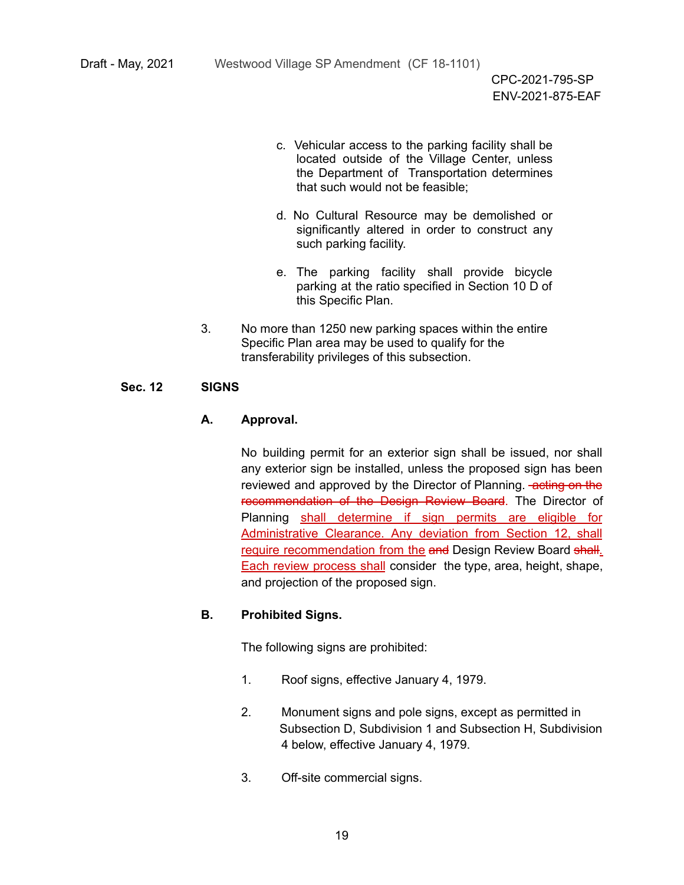- c. Vehicular access to the parking facility shall be located outside of the Village Center, unless the Department of Transportation determines that such would not be feasible;
- d. No Cultural Resource may be demolished or significantly altered in order to construct any such parking facility.
- e. The parking facility shall provide bicycle parking at the ratio specified in Section 10 D of this Specific Plan.
- 3. No more than 1250 new parking spaces within the entire Specific Plan area may be used to qualify for the transferability privileges of this subsection.

#### **Sec. 12 SIGNS**

#### **A. Approval.**

No building permit for an exterior sign shall be issued, nor shall any exterior sign be installed, unless the proposed sign has been reviewed and approved by the Director of Planning. **-acting on the** recommendation of the Design Review Board. The Director of Planning shall determine if sign permits are eligible for Administrative Clearance. Any deviation from Section 12, shall require recommendation from the and Design Review Board shall. Each review process shall consider the type, area, height, shape, and projection of the proposed sign.

#### **B. Prohibited Signs.**

The following signs are prohibited:

- 1. Roof signs, effective January 4, 1979.
- 2. Monument signs and pole signs, except as permitted in Subsection D, Subdivision 1 and Subsection H, Subdivision 4 below, effective January 4, 1979.
- 3. Off-site commercial signs.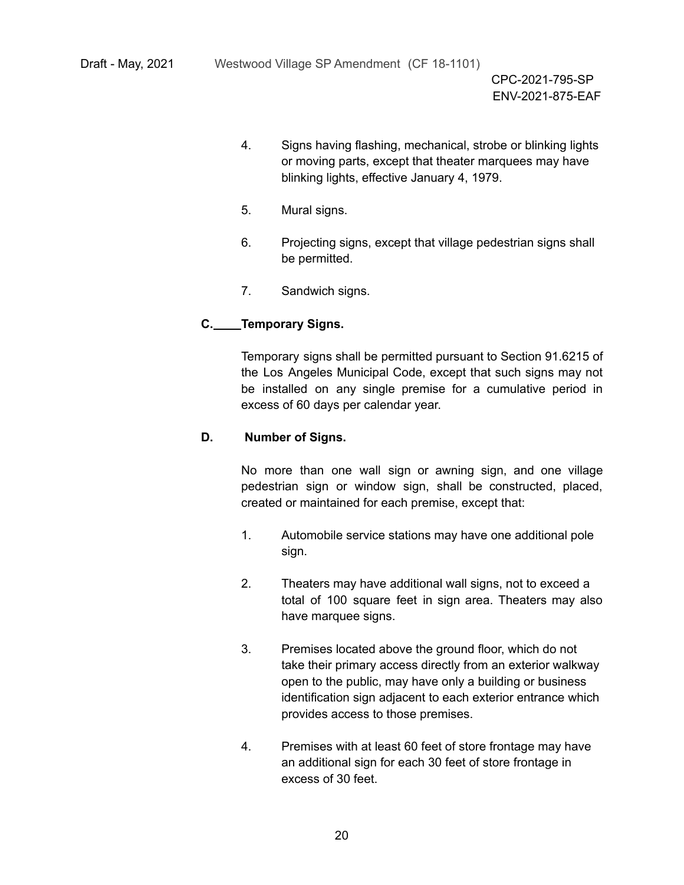- 4. Signs having flashing, mechanical, strobe or blinking lights or moving parts, except that theater marquees may have blinking lights, effective January 4, 1979.
- 5. Mural signs.
- 6. Projecting signs, except that village pedestrian signs shall be permitted.
- 7. Sandwich signs.

# **C. Temporary Signs.**

Temporary signs shall be permitted pursuant to Section 91.6215 of the Los Angeles Municipal Code, except that such signs may not be installed on any single premise for a cumulative period in excess of 60 days per calendar year.

# **D. Number of Signs.**

No more than one wall sign or awning sign, and one village pedestrian sign or window sign, shall be constructed, placed, created or maintained for each premise, except that:

- 1. Automobile service stations may have one additional pole sign.
- 2. Theaters may have additional wall signs, not to exceed a total of 100 square feet in sign area. Theaters may also have marquee signs.
- 3. Premises located above the ground floor, which do not take their primary access directly from an exterior walkway open to the public, may have only a building or business identification sign adjacent to each exterior entrance which provides access to those premises.
- 4. Premises with at least 60 feet of store frontage may have an additional sign for each 30 feet of store frontage in excess of 30 feet.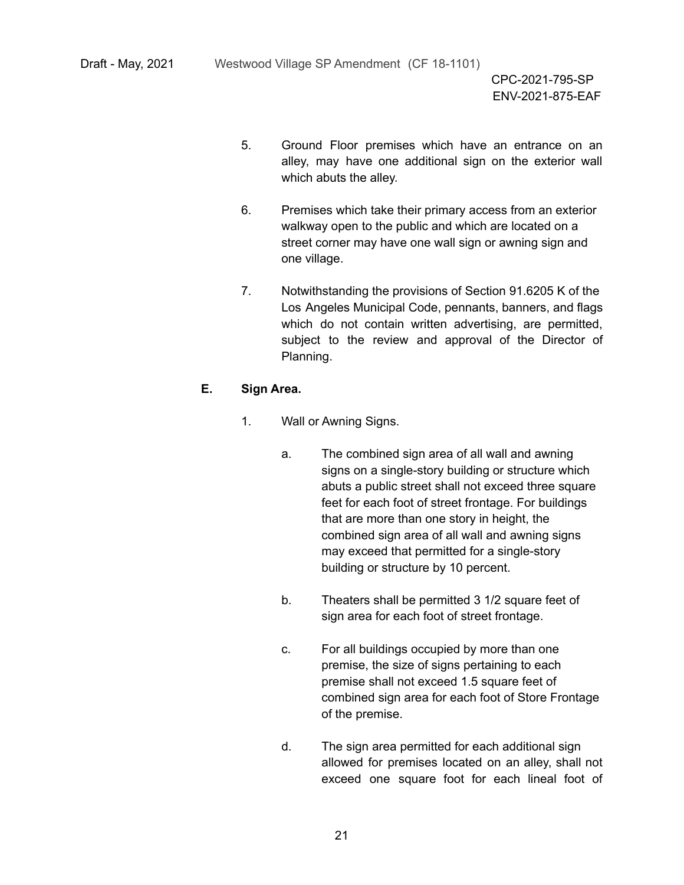- 5. Ground Floor premises which have an entrance on an alley, may have one additional sign on the exterior wall which abuts the alley.
- 6. Premises which take their primary access from an exterior walkway open to the public and which are located on a street corner may have one wall sign or awning sign and one village.
- 7. Notwithstanding the provisions of Section 91.6205 K of the Los Angeles Municipal Code, pennants, banners, and flags which do not contain written advertising, are permitted, subject to the review and approval of the Director of Planning.

# **E. Sign Area.**

- 1. Wall or Awning Signs.
	- a. The combined sign area of all wall and awning signs on a single-story building or structure which abuts a public street shall not exceed three square feet for each foot of street frontage. For buildings that are more than one story in height, the combined sign area of all wall and awning signs may exceed that permitted for a single-story building or structure by 10 percent.
	- b. Theaters shall be permitted 3 1/2 square feet of sign area for each foot of street frontage.
	- c. For all buildings occupied by more than one premise, the size of signs pertaining to each premise shall not exceed 1.5 square feet of combined sign area for each foot of Store Frontage of the premise.
	- d. The sign area permitted for each additional sign allowed for premises located on an alley, shall not exceed one square foot for each lineal foot of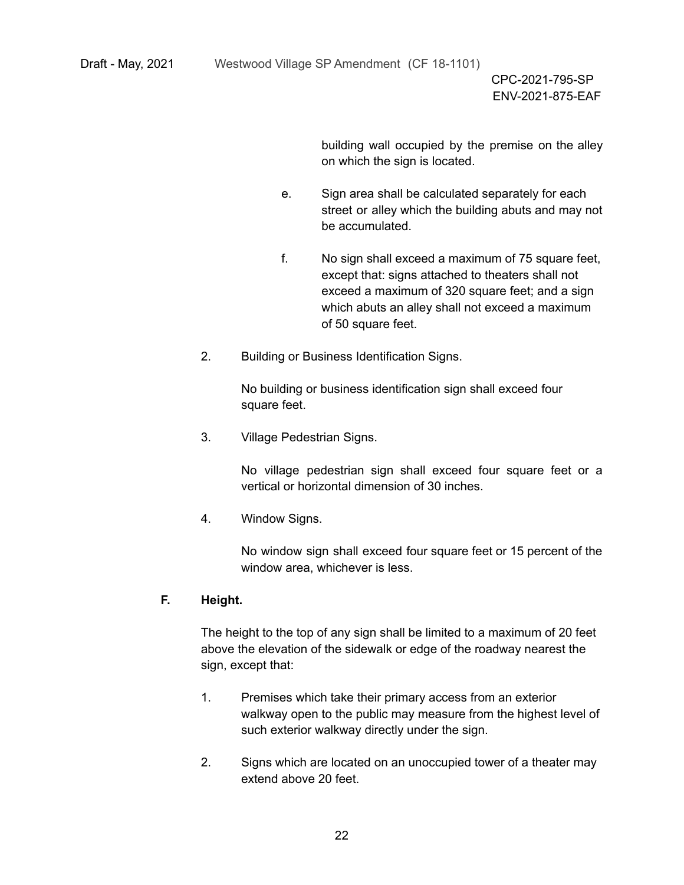building wall occupied by the premise on the alley on which the sign is located.

- e. Sign area shall be calculated separately for each street or alley which the building abuts and may not be accumulated.
- f. No sign shall exceed a maximum of 75 square feet, except that: signs attached to theaters shall not exceed a maximum of 320 square feet; and a sign which abuts an alley shall not exceed a maximum of 50 square feet.
- 2. Building or Business Identification Signs.

No building or business identification sign shall exceed four square feet.

3. Village Pedestrian Signs.

No village pedestrian sign shall exceed four square feet or a vertical or horizontal dimension of 30 inches.

4. Window Signs.

No window sign shall exceed four square feet or 15 percent of the window area, whichever is less.

# **F. Height.**

The height to the top of any sign shall be limited to a maximum of 20 feet above the elevation of the sidewalk or edge of the roadway nearest the sign, except that:

- 1. Premises which take their primary access from an exterior walkway open to the public may measure from the highest level of such exterior walkway directly under the sign.
- 2. Signs which are located on an unoccupied tower of a theater may extend above 20 feet.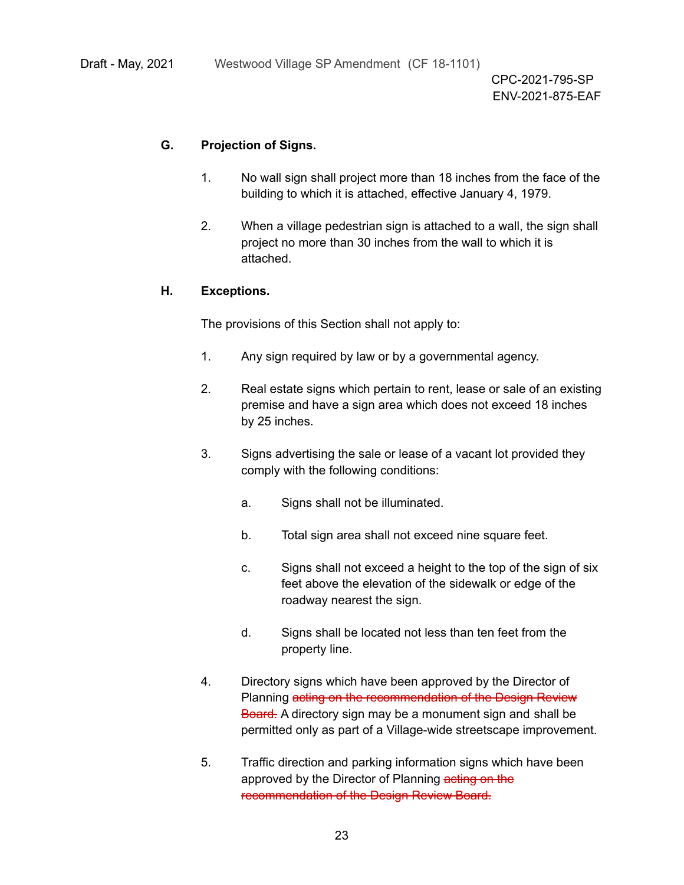# **G. Projection of Signs.**

- 1. No wall sign shall project more than 18 inches from the face of the building to which it is attached, effective January 4, 1979.
- 2. When a village pedestrian sign is attached to a wall, the sign shall project no more than 30 inches from the wall to which it is attached.

### **H. Exceptions.**

The provisions of this Section shall not apply to:

- 1. Any sign required by law or by a governmental agency.
- 2. Real estate signs which pertain to rent, lease or sale of an existing premise and have a sign area which does not exceed 18 inches by 25 inches.
- 3. Signs advertising the sale or lease of a vacant lot provided they comply with the following conditions:
	- a. Signs shall not be illuminated.
	- b. Total sign area shall not exceed nine square feet.
	- c. Signs shall not exceed a height to the top of the sign of six feet above the elevation of the sidewalk or edge of the roadway nearest the sign.
	- d. Signs shall be located not less than ten feet from the property line.
- 4. Directory signs which have been approved by the Director of Planning acting on the recommendation of the Design Review Board. A directory sign may be a monument sign and shall be permitted only as part of a Village-wide streetscape improvement.
- 5. Traffic direction and parking information signs which have been approved by the Director of Planning acting on the recommendation of the Design Review Board.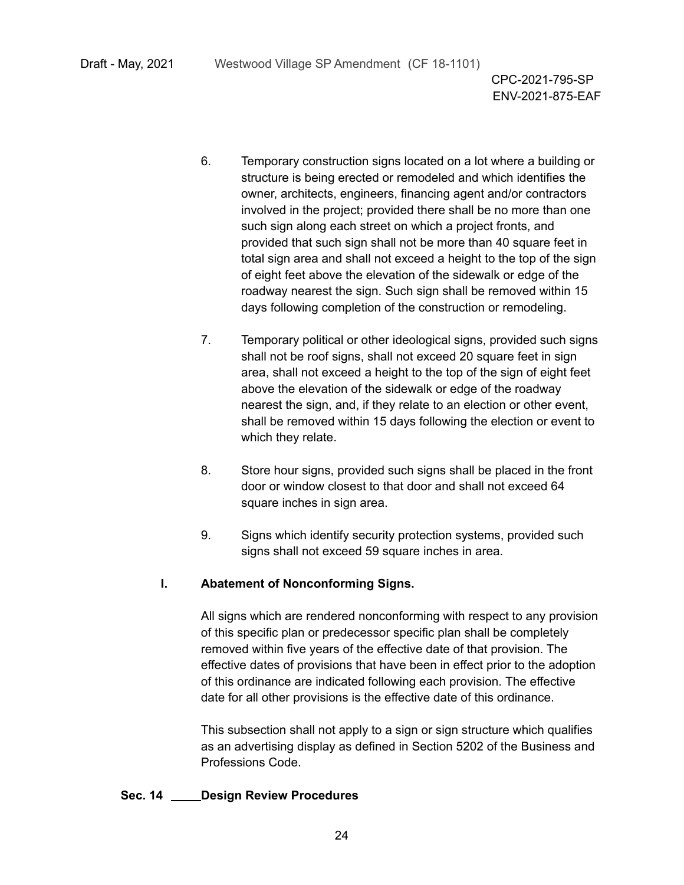- 6. Temporary construction signs located on a lot where a building or structure is being erected or remodeled and which identifies the owner, architects, engineers, financing agent and/or contractors involved in the project; provided there shall be no more than one such sign along each street on which a project fronts, and provided that such sign shall not be more than 40 square feet in total sign area and shall not exceed a height to the top of the sign of eight feet above the elevation of the sidewalk or edge of the roadway nearest the sign. Such sign shall be removed within 15 days following completion of the construction or remodeling.
- 7. Temporary political or other ideological signs, provided such signs shall not be roof signs, shall not exceed 20 square feet in sign area, shall not exceed a height to the top of the sign of eight feet above the elevation of the sidewalk or edge of the roadway nearest the sign, and, if they relate to an election or other event, shall be removed within 15 days following the election or event to which they relate.
- 8. Store hour signs, provided such signs shall be placed in the front door or window closest to that door and shall not exceed 64 square inches in sign area.
- 9. Signs which identify security protection systems, provided such signs shall not exceed 59 square inches in area.

#### **I. Abatement of Nonconforming Signs.**

All signs which are rendered nonconforming with respect to any provision of this specific plan or predecessor specific plan shall be completely removed within five years of the effective date of that provision. The effective dates of provisions that have been in effect prior to the adoption of this ordinance are indicated following each provision. The effective date for all other provisions is the effective date of this ordinance.

This subsection shall not apply to a sign or sign structure which qualifies as an advertising display as defined in Section 5202 of the Business and Professions Code.

#### **Sec. 14 Design Review Procedures**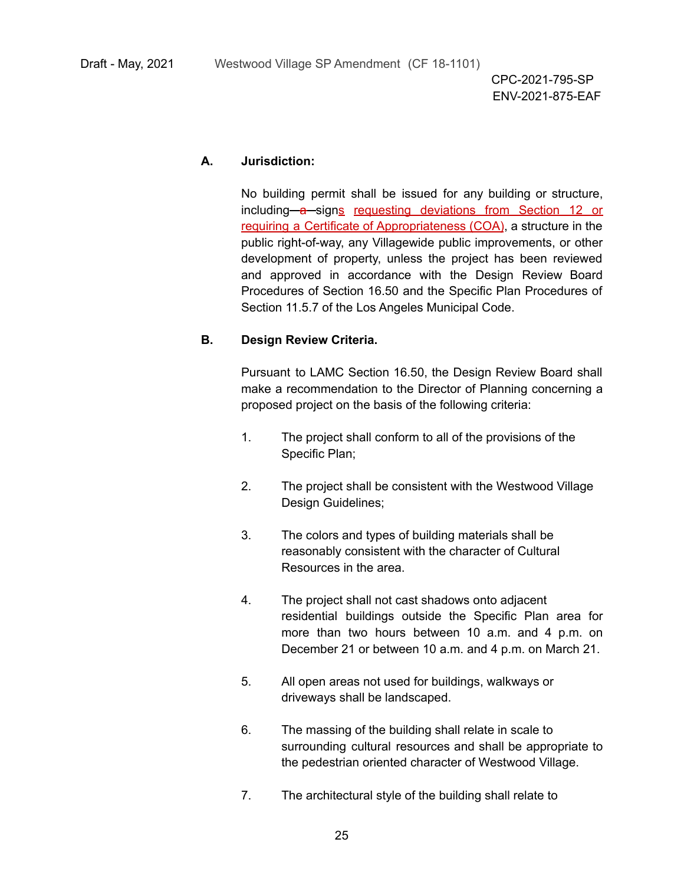#### **A. Jurisdiction:**

No building permit shall be issued for any building or structure, including-a-signs requesting deviations from Section 12 or requiring a Certificate of Appropriateness (COA), a structure in the public right-of-way, any Villagewide public improvements, or other development of property, unless the project has been reviewed and approved in accordance with the Design Review Board Procedures of Section 16.50 and the Specific Plan Procedures of Section 11.5.7 of the Los Angeles Municipal Code.

#### **B. Design Review Criteria.**

Pursuant to LAMC Section 16.50, the Design Review Board shall make a recommendation to the Director of Planning concerning a proposed project on the basis of the following criteria:

- 1. The project shall conform to all of the provisions of the Specific Plan;
- 2. The project shall be consistent with the Westwood Village Design Guidelines;
- 3. The colors and types of building materials shall be reasonably consistent with the character of Cultural Resources in the area.
- 4. The project shall not cast shadows onto adjacent residential buildings outside the Specific Plan area for more than two hours between 10 a.m. and 4 p.m. on December 21 or between 10 a.m. and 4 p.m. on March 21.
- 5. All open areas not used for buildings, walkways or driveways shall be landscaped.
- 6. The massing of the building shall relate in scale to surrounding cultural resources and shall be appropriate to the pedestrian oriented character of Westwood Village.
- 7. The architectural style of the building shall relate to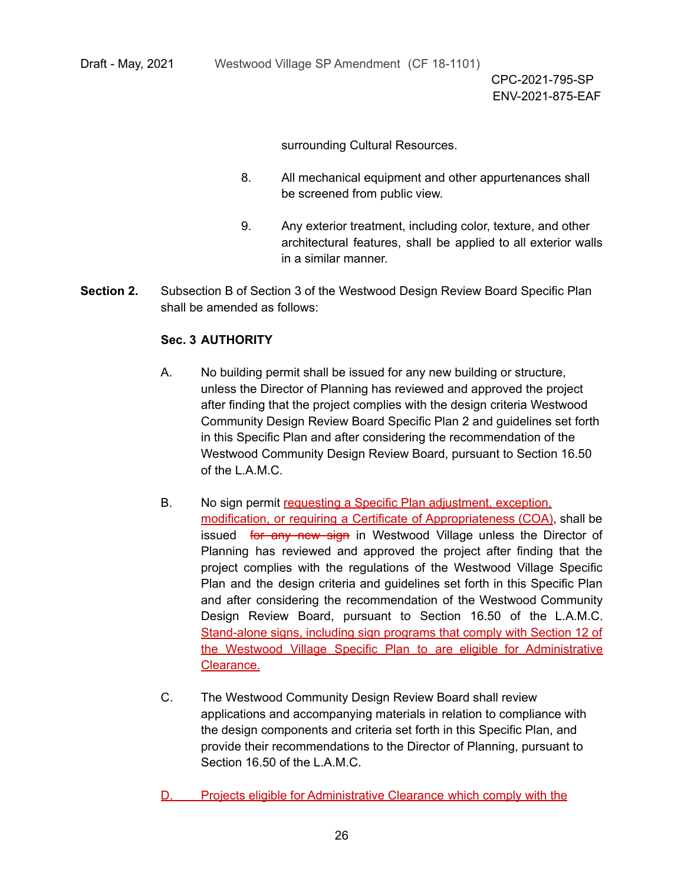surrounding Cultural Resources.

- 8. All mechanical equipment and other appurtenances shall be screened from public view.
- 9. Any exterior treatment, including color, texture, and other architectural features, shall be applied to all exterior walls in a similar manner.
- **Section 2.** Subsection B of Section 3 of the Westwood Design Review Board Specific Plan shall be amended as follows:

# **Sec. 3 AUTHORITY**

- A. No building permit shall be issued for any new building or structure, unless the Director of Planning has reviewed and approved the project after finding that the project complies with the design criteria Westwood Community Design Review Board Specific Plan 2 and guidelines set forth in this Specific Plan and after considering the recommendation of the Westwood Community Design Review Board, pursuant to Section 16.50 of the L.A.M.C.
- B. No sign permit requesting a Specific Plan adjustment, exception, modification, or requiring a Certificate of Appropriateness (COA), shall be issued for any new sign in Westwood Village unless the Director of Planning has reviewed and approved the project after finding that the project complies with the regulations of the Westwood Village Specific Plan and the design criteria and guidelines set forth in this Specific Plan and after considering the recommendation of the Westwood Community Design Review Board, pursuant to Section 16.50 of the L.A.M.C. Stand-alone signs, including sign programs that comply with Section 12 of the Westwood Village Specific Plan to are eligible for Administrative Clearance.
- C. The Westwood Community Design Review Board shall review applications and accompanying materials in relation to compliance with the design components and criteria set forth in this Specific Plan, and provide their recommendations to the Director of Planning, pursuant to Section 16.50 of the L.A.M.C.
- D. Projects eligible for Administrative Clearance which comply with the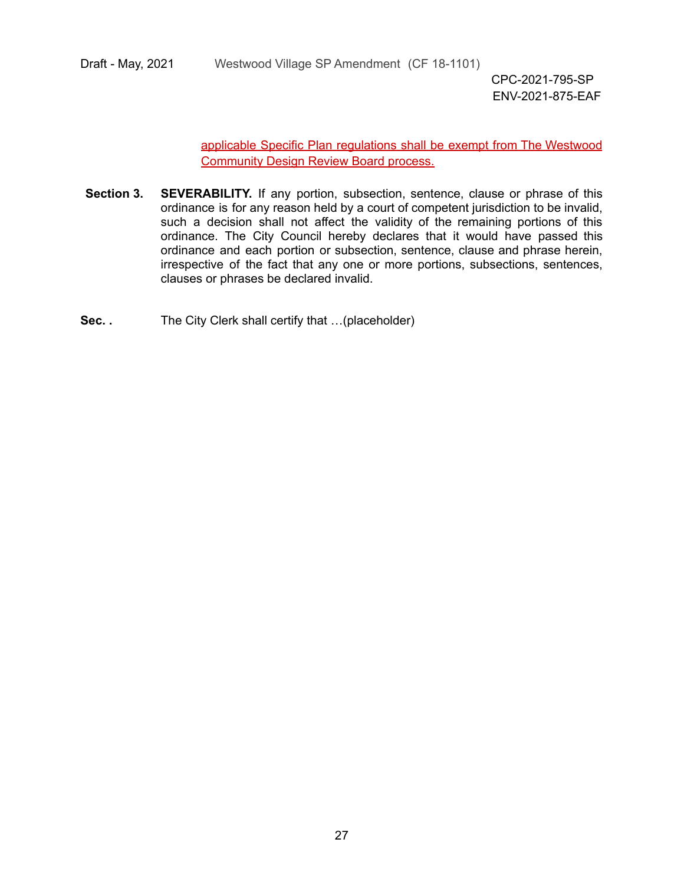Draft - May, 2021 Westwood Village SP Amendment (CF 18-1101)

CPC-2021-795-SP ENV-2021-875-EAF

applicable Specific Plan regulations shall be exempt from The Westwood Community Design Review Board process.

- **Section 3. SEVERABILITY.** If any portion, subsection, sentence, clause or phrase of this ordinance is for any reason held by a court of competent jurisdiction to be invalid, such a decision shall not affect the validity of the remaining portions of this ordinance. The City Council hereby declares that it would have passed this ordinance and each portion or subsection, sentence, clause and phrase herein, irrespective of the fact that any one or more portions, subsections, sentences, clauses or phrases be declared invalid.
- **Sec. .** The City Clerk shall certify that …(placeholder)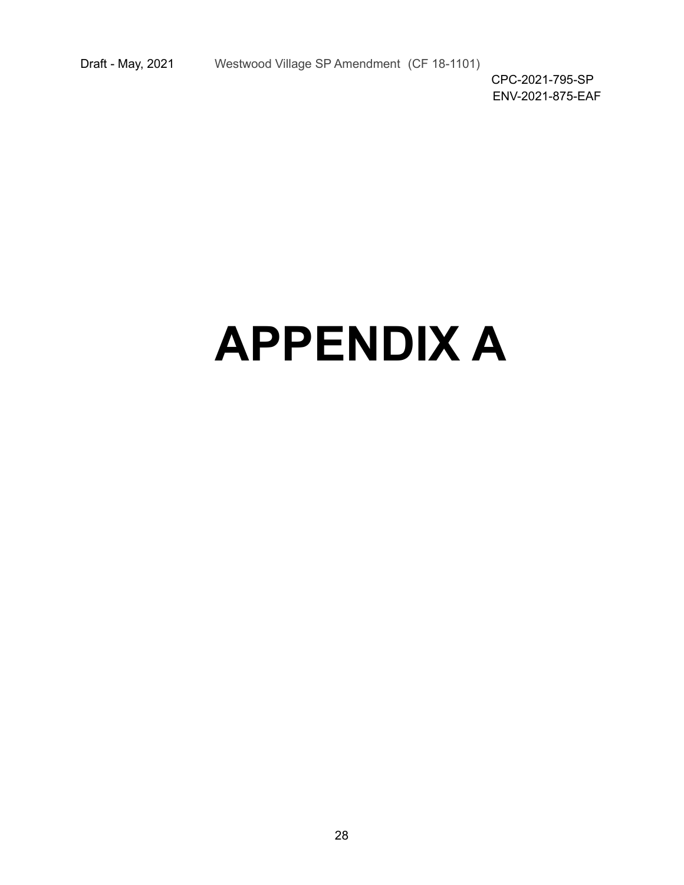# **APPENDIX A**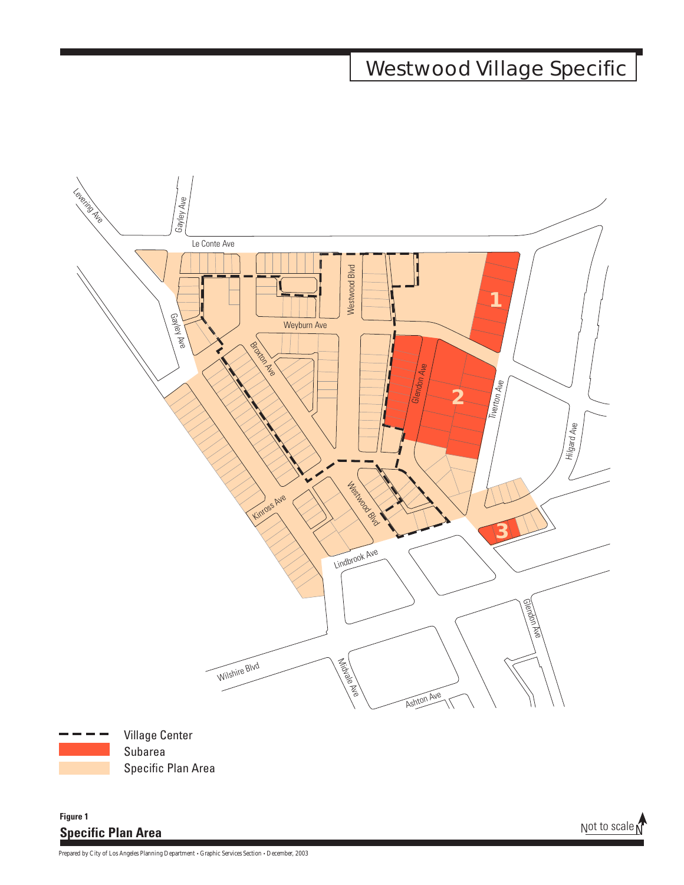# **Westwood Village Specific**



Village Center Subarea Specific Plan Area

# **Specific Plan Area Figure 1**

Not to scale  $\Lambda$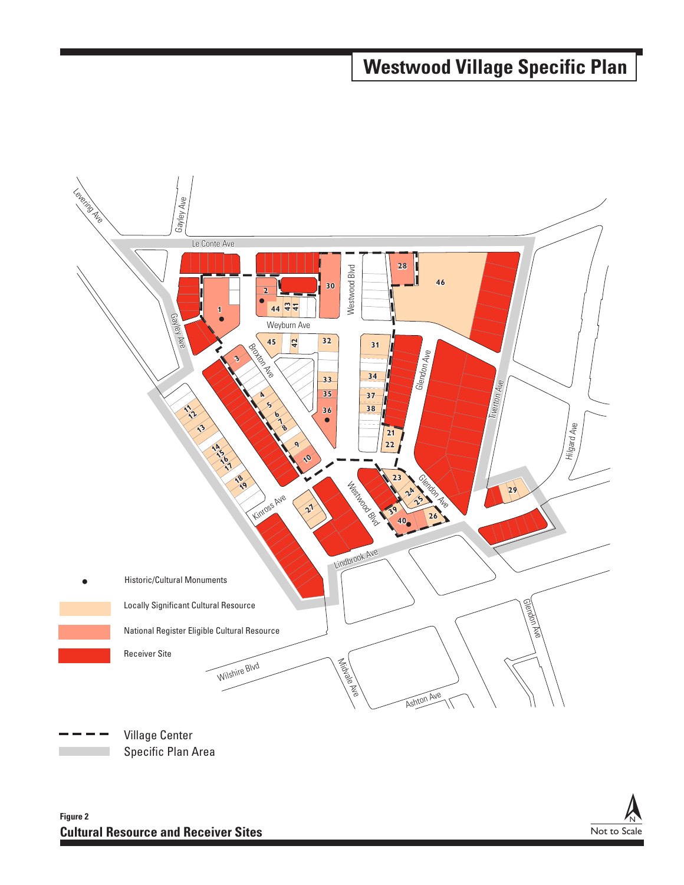# **Westwood Village Specific Plan**



Specific Plan Area